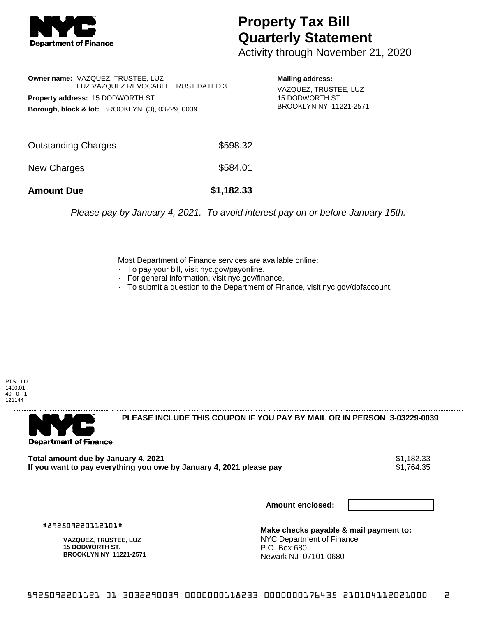

## **Property Tax Bill Quarterly Statement**

Activity through November 21, 2020

**Owner name:** VAZQUEZ, TRUSTEE, LUZ LUZ VAZQUEZ REVOCABLE TRUST DATED 3 **Property address:** 15 DODWORTH ST. **Borough, block & lot:** BROOKLYN (3), 03229, 0039

**Mailing address:** VAZQUEZ, TRUSTEE, LUZ 15 DODWORTH ST. BROOKLYN NY 11221-2571

| <b>Amount Due</b>   | \$1,182.33 |
|---------------------|------------|
| New Charges         | \$584.01   |
| Outstanding Charges | \$598.32   |

Please pay by January 4, 2021. To avoid interest pay on or before January 15th.

Most Department of Finance services are available online:

- · To pay your bill, visit nyc.gov/payonline.
- For general information, visit nyc.gov/finance.
- · To submit a question to the Department of Finance, visit nyc.gov/dofaccount.

PTS - LD 1400.01  $40 - 0 - 1$ 121144



**PLEASE INCLUDE THIS COUPON IF YOU PAY BY MAIL OR IN PERSON 3-03229-0039** 

**Total amount due by January 4, 2021**<br>If you want to pay everything you owe by January 4, 2021 please pay **show that the set of the set of the s**1,764.35 If you want to pay everything you owe by January 4, 2021 please pay

**Amount enclosed:**

#892509220112101#

**VAZQUEZ, TRUSTEE, LUZ 15 DODWORTH ST. BROOKLYN NY 11221-2571**

**Make checks payable & mail payment to:** NYC Department of Finance P.O. Box 680 Newark NJ 07101-0680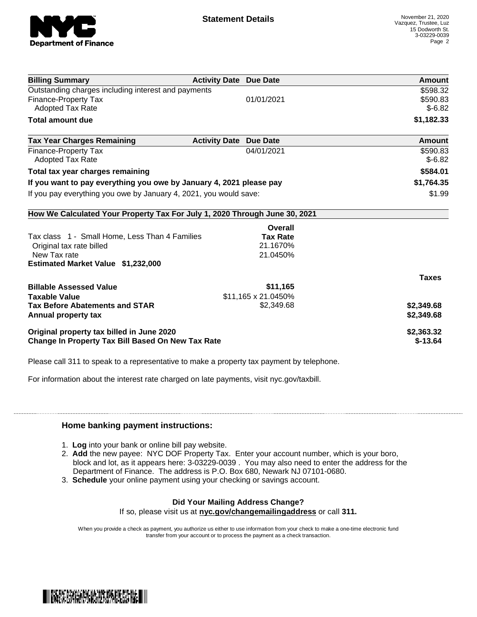

| <b>Billing Summary</b>                                                             | <b>Activity Date Due Date</b>           | Amount               |
|------------------------------------------------------------------------------------|-----------------------------------------|----------------------|
| Outstanding charges including interest and payments<br><b>Finance-Property Tax</b> | 01/01/2021                              | \$598.32<br>\$590.83 |
| Adopted Tax Rate                                                                   |                                         | $$-6.82$             |
| <b>Total amount due</b>                                                            |                                         | \$1,182.33           |
| <b>Tax Year Charges Remaining</b>                                                  | <b>Activity Date</b><br><b>Due Date</b> | Amount               |
| <b>Finance-Property Tax</b><br><b>Adopted Tax Rate</b>                             | 04/01/2021                              | \$590.83<br>$$-6.82$ |
| Total tax year charges remaining                                                   |                                         | \$584.01             |
| If you want to pay everything you owe by January 4, 2021 please pay                |                                         | \$1,764.35           |
| If you pay everything you owe by January 4, 2021, you would save:                  |                                         | \$1.99               |
| How We Calculated Your Property Tax For July 1, 2020 Through June 30, 2021         |                                         |                      |
|                                                                                    | Overall                                 |                      |
| Tax class 1 - Small Home, Less Than 4 Families                                     | <b>Tax Rate</b>                         |                      |
| Original tax rate billed                                                           | 21.1670%                                |                      |
| New Tax rate<br><b>Estimated Market Value \$1,232,000</b>                          | 21.0450%                                |                      |
|                                                                                    |                                         | <b>Taxes</b>         |
| <b>Billable Assessed Value</b>                                                     | \$11,165                                |                      |
| <b>Taxable Value</b><br><b>Tax Before Abatements and STAR</b>                      | \$11,165 x 21.0450%<br>\$2,349.68       | \$2,349.68           |
| Annual property tax                                                                |                                         | \$2,349.68           |
| Original property tax billed in June 2020                                          |                                         | \$2,363.32           |
| Change In Property Tax Bill Based On New Tax Rate                                  |                                         | $$-13.64$            |

Please call 311 to speak to a representative to make a property tax payment by telephone.

For information about the interest rate charged on late payments, visit nyc.gov/taxbill.

## **Home banking payment instructions:**

- 1. **Log** into your bank or online bill pay website.
- 2. **Add** the new payee: NYC DOF Property Tax. Enter your account number, which is your boro, block and lot, as it appears here: 3-03229-0039 . You may also need to enter the address for the Department of Finance. The address is P.O. Box 680, Newark NJ 07101-0680.
- 3. **Schedule** your online payment using your checking or savings account.

## **Did Your Mailing Address Change?**

If so, please visit us at **nyc.gov/changemailingaddress** or call **311.**

When you provide a check as payment, you authorize us either to use information from your check to make a one-time electronic fund transfer from your account or to process the payment as a check transaction.